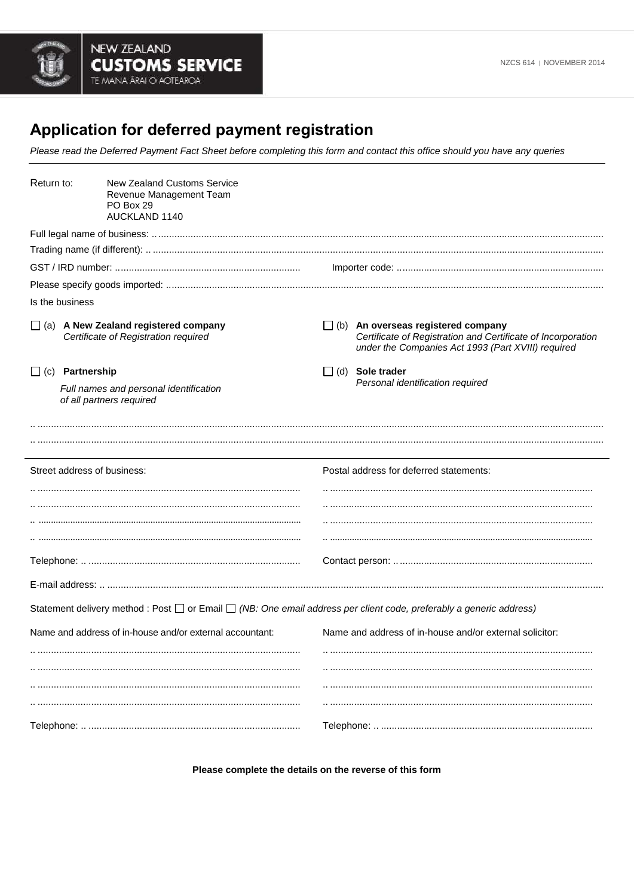

## Application for deferred payment registration

Please read the Deferred Payment Fact Sheet before completing this form and contact this office should you have any queries

| Return to: |                                                                                                                                                                                     | New Zealand Customs Service<br>Revenue Management Team<br>PO Box 29<br>AUCKLAND 1140                                |                                                            |                                                                                                                                                                 |  |  |
|------------|-------------------------------------------------------------------------------------------------------------------------------------------------------------------------------------|---------------------------------------------------------------------------------------------------------------------|------------------------------------------------------------|-----------------------------------------------------------------------------------------------------------------------------------------------------------------|--|--|
|            |                                                                                                                                                                                     |                                                                                                                     |                                                            |                                                                                                                                                                 |  |  |
|            |                                                                                                                                                                                     |                                                                                                                     |                                                            |                                                                                                                                                                 |  |  |
|            |                                                                                                                                                                                     |                                                                                                                     |                                                            |                                                                                                                                                                 |  |  |
|            |                                                                                                                                                                                     |                                                                                                                     |                                                            |                                                                                                                                                                 |  |  |
|            | Is the business                                                                                                                                                                     |                                                                                                                     |                                                            |                                                                                                                                                                 |  |  |
|            | $\Box$ (a) A New Zealand registered company<br>Certificate of Registration required<br>$\Box$ (c) Partnership<br>Full names and personal identification<br>of all partners required |                                                                                                                     |                                                            | $\Box$ (b) An overseas registered company<br>Certificate of Registration and Certificate of Incorporation<br>under the Companies Act 1993 (Part XVIII) required |  |  |
|            |                                                                                                                                                                                     |                                                                                                                     | $\Box$ (d) Sole trader<br>Personal identification required |                                                                                                                                                                 |  |  |
|            |                                                                                                                                                                                     |                                                                                                                     |                                                            |                                                                                                                                                                 |  |  |
|            |                                                                                                                                                                                     | Street address of business:                                                                                         |                                                            | Postal address for deferred statements:                                                                                                                         |  |  |
|            |                                                                                                                                                                                     |                                                                                                                     |                                                            |                                                                                                                                                                 |  |  |
|            |                                                                                                                                                                                     |                                                                                                                     |                                                            |                                                                                                                                                                 |  |  |
|            |                                                                                                                                                                                     |                                                                                                                     |                                                            |                                                                                                                                                                 |  |  |
|            |                                                                                                                                                                                     |                                                                                                                     |                                                            |                                                                                                                                                                 |  |  |
|            |                                                                                                                                                                                     |                                                                                                                     |                                                            |                                                                                                                                                                 |  |  |
|            |                                                                                                                                                                                     |                                                                                                                     |                                                            |                                                                                                                                                                 |  |  |
|            |                                                                                                                                                                                     | Statement delivery method : Post □ or Email □ (NB: One email address per client code, preferably a generic address) |                                                            |                                                                                                                                                                 |  |  |
|            |                                                                                                                                                                                     | Name and address of in-house and/or external accountant:                                                            |                                                            | Name and address of in-house and/or external solicitor:                                                                                                         |  |  |
|            |                                                                                                                                                                                     |                                                                                                                     |                                                            |                                                                                                                                                                 |  |  |
|            |                                                                                                                                                                                     |                                                                                                                     |                                                            |                                                                                                                                                                 |  |  |
|            |                                                                                                                                                                                     |                                                                                                                     |                                                            |                                                                                                                                                                 |  |  |
|            |                                                                                                                                                                                     |                                                                                                                     |                                                            |                                                                                                                                                                 |  |  |
|            |                                                                                                                                                                                     |                                                                                                                     |                                                            |                                                                                                                                                                 |  |  |

Please complete the details on the reverse of this form